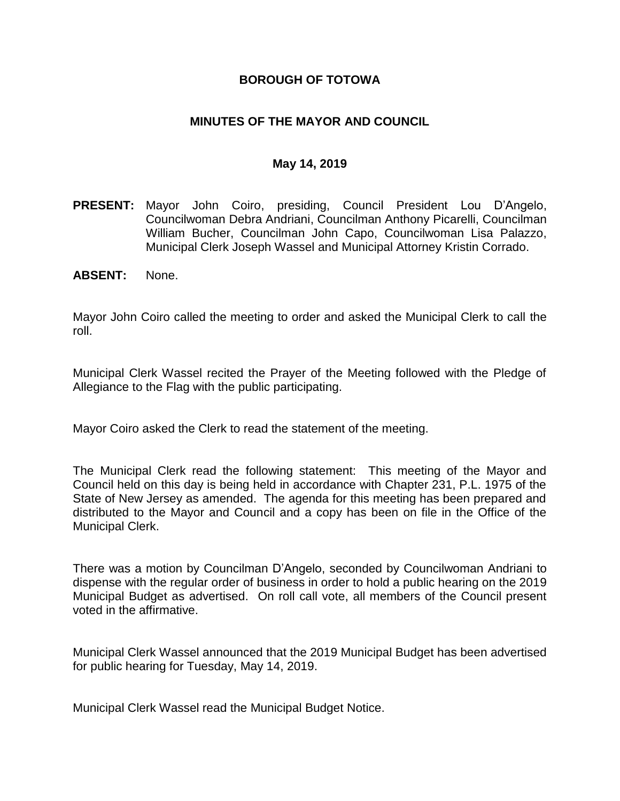### **BOROUGH OF TOTOWA**

## **MINUTES OF THE MAYOR AND COUNCIL**

#### **May 14, 2019**

- **PRESENT:** Mayor John Coiro, presiding, Council President Lou D'Angelo, Councilwoman Debra Andriani, Councilman Anthony Picarelli, Councilman William Bucher, Councilman John Capo, Councilwoman Lisa Palazzo, Municipal Clerk Joseph Wassel and Municipal Attorney Kristin Corrado.
- **ABSENT:** None.

Mayor John Coiro called the meeting to order and asked the Municipal Clerk to call the roll.

Municipal Clerk Wassel recited the Prayer of the Meeting followed with the Pledge of Allegiance to the Flag with the public participating.

Mayor Coiro asked the Clerk to read the statement of the meeting.

The Municipal Clerk read the following statement: This meeting of the Mayor and Council held on this day is being held in accordance with Chapter 231, P.L. 1975 of the State of New Jersey as amended. The agenda for this meeting has been prepared and distributed to the Mayor and Council and a copy has been on file in the Office of the Municipal Clerk.

There was a motion by Councilman D'Angelo, seconded by Councilwoman Andriani to dispense with the regular order of business in order to hold a public hearing on the 2019 Municipal Budget as advertised. On roll call vote, all members of the Council present voted in the affirmative.

Municipal Clerk Wassel announced that the 2019 Municipal Budget has been advertised for public hearing for Tuesday, May 14, 2019.

Municipal Clerk Wassel read the Municipal Budget Notice.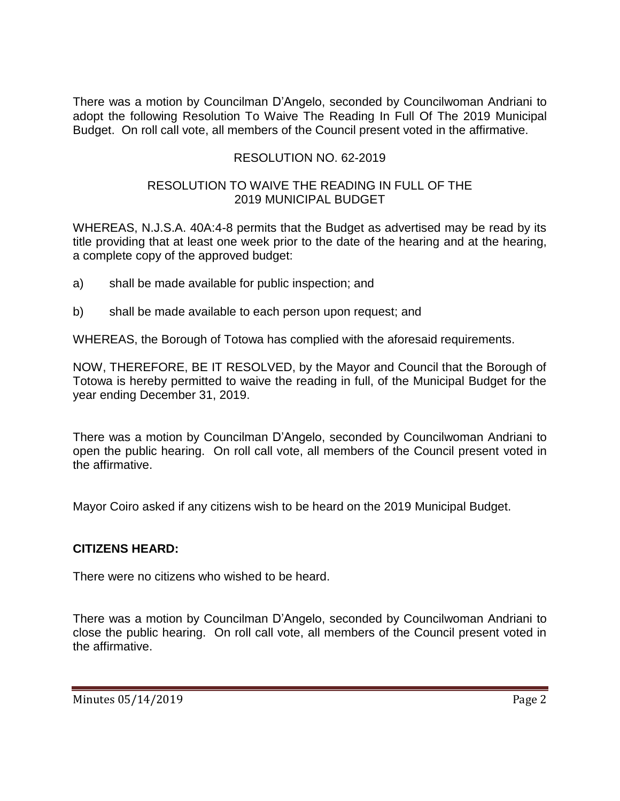There was a motion by Councilman D'Angelo, seconded by Councilwoman Andriani to adopt the following Resolution To Waive The Reading In Full Of The 2019 Municipal Budget. On roll call vote, all members of the Council present voted in the affirmative.

## RESOLUTION NO. 62-2019

### RESOLUTION TO WAIVE THE READING IN FULL OF THE 2019 MUNICIPAL BUDGET

WHEREAS, N.J.S.A. 40A:4-8 permits that the Budget as advertised may be read by its title providing that at least one week prior to the date of the hearing and at the hearing, a complete copy of the approved budget:

- a) shall be made available for public inspection; and
- b) shall be made available to each person upon request; and

WHEREAS, the Borough of Totowa has complied with the aforesaid requirements.

NOW, THEREFORE, BE IT RESOLVED, by the Mayor and Council that the Borough of Totowa is hereby permitted to waive the reading in full, of the Municipal Budget for the year ending December 31, 2019.

There was a motion by Councilman D'Angelo, seconded by Councilwoman Andriani to open the public hearing. On roll call vote, all members of the Council present voted in the affirmative.

Mayor Coiro asked if any citizens wish to be heard on the 2019 Municipal Budget.

#### **CITIZENS HEARD:**

There were no citizens who wished to be heard.

There was a motion by Councilman D'Angelo, seconded by Councilwoman Andriani to close the public hearing. On roll call vote, all members of the Council present voted in the affirmative.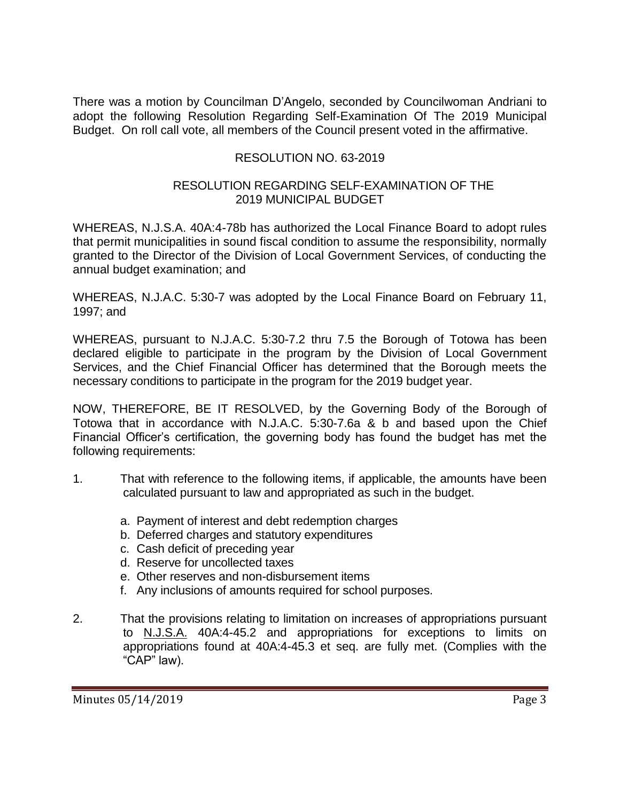There was a motion by Councilman D'Angelo, seconded by Councilwoman Andriani to adopt the following Resolution Regarding Self-Examination Of The 2019 Municipal Budget. On roll call vote, all members of the Council present voted in the affirmative.

## RESOLUTION NO. 63-2019

### RESOLUTION REGARDING SELF-EXAMINATION OF THE 2019 MUNICIPAL BUDGET

WHEREAS, N.J.S.A. 40A:4-78b has authorized the Local Finance Board to adopt rules that permit municipalities in sound fiscal condition to assume the responsibility, normally granted to the Director of the Division of Local Government Services, of conducting the annual budget examination; and

WHEREAS, N.J.A.C. 5:30-7 was adopted by the Local Finance Board on February 11, 1997; and

WHEREAS, pursuant to N.J.A.C. 5:30-7.2 thru 7.5 the Borough of Totowa has been declared eligible to participate in the program by the Division of Local Government Services, and the Chief Financial Officer has determined that the Borough meets the necessary conditions to participate in the program for the 2019 budget year.

NOW, THEREFORE, BE IT RESOLVED, by the Governing Body of the Borough of Totowa that in accordance with N.J.A.C. 5:30-7.6a & b and based upon the Chief Financial Officer's certification, the governing body has found the budget has met the following requirements:

- 1. That with reference to the following items, if applicable, the amounts have been calculated pursuant to law and appropriated as such in the budget.
	- a. Payment of interest and debt redemption charges
	- b. Deferred charges and statutory expenditures
	- c. Cash deficit of preceding year
	- d. Reserve for uncollected taxes
	- e. Other reserves and non-disbursement items
	- f. Any inclusions of amounts required for school purposes.
- 2. That the provisions relating to limitation on increases of appropriations pursuant to N.J.S.A. 40A:4-45.2 and appropriations for exceptions to limits on appropriations found at 40A:4-45.3 et seq. are fully met. (Complies with the "CAP" law).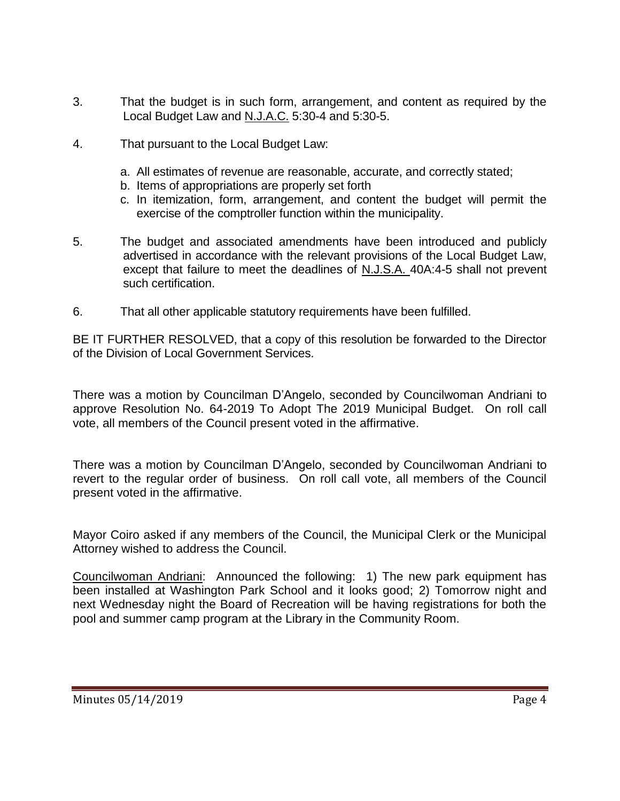- 3. That the budget is in such form, arrangement, and content as required by the Local Budget Law and N.J.A.C. 5:30-4 and 5:30-5.
- 4. That pursuant to the Local Budget Law:
	- a. All estimates of revenue are reasonable, accurate, and correctly stated;
	- b. Items of appropriations are properly set forth
	- c. In itemization, form, arrangement, and content the budget will permit the exercise of the comptroller function within the municipality.
- 5. The budget and associated amendments have been introduced and publicly advertised in accordance with the relevant provisions of the Local Budget Law, except that failure to meet the deadlines of N.J.S.A. 40A:4-5 shall not prevent such certification.
- 6. That all other applicable statutory requirements have been fulfilled.

BE IT FURTHER RESOLVED, that a copy of this resolution be forwarded to the Director of the Division of Local Government Services.

There was a motion by Councilman D'Angelo, seconded by Councilwoman Andriani to approve Resolution No. 64-2019 To Adopt The 2019 Municipal Budget. On roll call vote, all members of the Council present voted in the affirmative.

There was a motion by Councilman D'Angelo, seconded by Councilwoman Andriani to revert to the regular order of business. On roll call vote, all members of the Council present voted in the affirmative.

Mayor Coiro asked if any members of the Council, the Municipal Clerk or the Municipal Attorney wished to address the Council.

Councilwoman Andriani: Announced the following: 1) The new park equipment has been installed at Washington Park School and it looks good; 2) Tomorrow night and next Wednesday night the Board of Recreation will be having registrations for both the pool and summer camp program at the Library in the Community Room.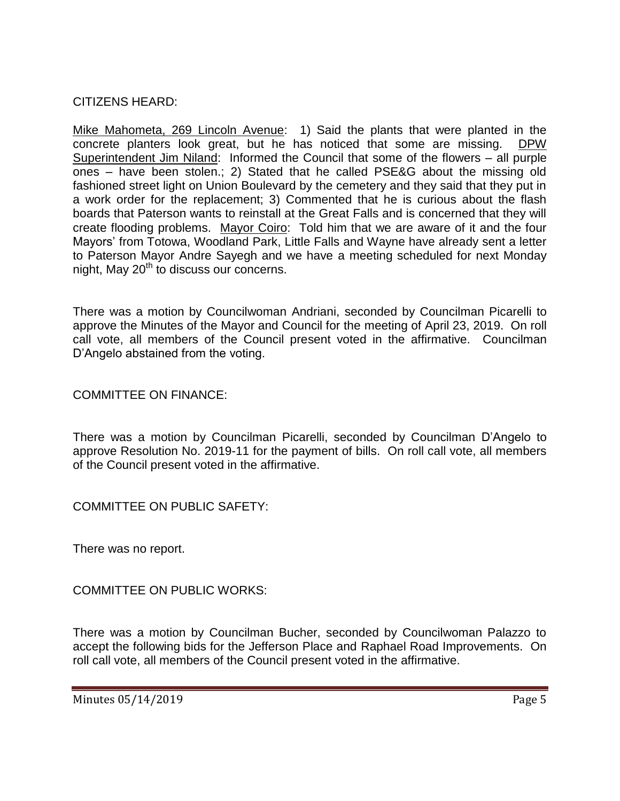CITIZENS HEARD:

Mike Mahometa, 269 Lincoln Avenue: 1) Said the plants that were planted in the concrete planters look great, but he has noticed that some are missing. DPW Superintendent Jim Niland: Informed the Council that some of the flowers – all purple ones – have been stolen.; 2) Stated that he called PSE&G about the missing old fashioned street light on Union Boulevard by the cemetery and they said that they put in a work order for the replacement; 3) Commented that he is curious about the flash boards that Paterson wants to reinstall at the Great Falls and is concerned that they will create flooding problems. Mayor Coiro: Told him that we are aware of it and the four Mayors' from Totowa, Woodland Park, Little Falls and Wayne have already sent a letter to Paterson Mayor Andre Sayegh and we have a meeting scheduled for next Monday night, May  $20<sup>th</sup>$  to discuss our concerns.

There was a motion by Councilwoman Andriani, seconded by Councilman Picarelli to approve the Minutes of the Mayor and Council for the meeting of April 23, 2019. On roll call vote, all members of the Council present voted in the affirmative. Councilman D'Angelo abstained from the voting.

COMMITTEE ON FINANCE:

There was a motion by Councilman Picarelli, seconded by Councilman D'Angelo to approve Resolution No. 2019-11 for the payment of bills. On roll call vote, all members of the Council present voted in the affirmative.

COMMITTEE ON PUBLIC SAFETY:

There was no report.

COMMITTEE ON PUBLIC WORKS:

There was a motion by Councilman Bucher, seconded by Councilwoman Palazzo to accept the following bids for the Jefferson Place and Raphael Road Improvements. On roll call vote, all members of the Council present voted in the affirmative.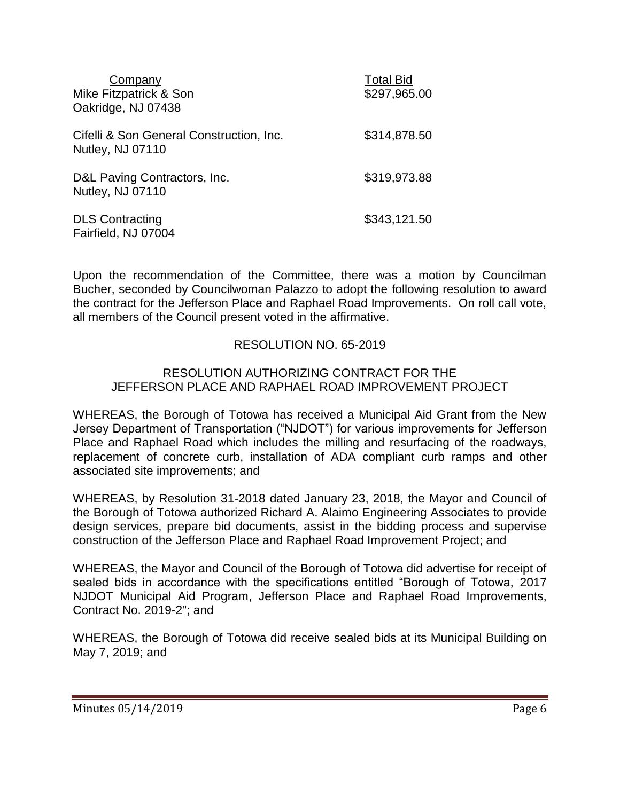| Company<br>Mike Fitzpatrick & Son<br>Oakridge, NJ 07438             | <b>Total Bid</b><br>\$297,965.00 |
|---------------------------------------------------------------------|----------------------------------|
| Cifelli & Son General Construction, Inc.<br><b>Nutley, NJ 07110</b> | \$314,878.50                     |
| D&L Paving Contractors, Inc.<br><b>Nutley, NJ 07110</b>             | \$319,973.88                     |
| <b>DLS Contracting</b><br>Fairfield, NJ 07004                       | \$343,121.50                     |

Upon the recommendation of the Committee, there was a motion by Councilman Bucher, seconded by Councilwoman Palazzo to adopt the following resolution to award the contract for the Jefferson Place and Raphael Road Improvements. On roll call vote, all members of the Council present voted in the affirmative.

## RESOLUTION NO. 65-2019

#### RESOLUTION AUTHORIZING CONTRACT FOR THE JEFFERSON PLACE AND RAPHAEL ROAD IMPROVEMENT PROJECT

WHEREAS, the Borough of Totowa has received a Municipal Aid Grant from the New Jersey Department of Transportation ("NJDOT") for various improvements for Jefferson Place and Raphael Road which includes the milling and resurfacing of the roadways, replacement of concrete curb, installation of ADA compliant curb ramps and other associated site improvements; and

WHEREAS, by Resolution 31-2018 dated January 23, 2018, the Mayor and Council of the Borough of Totowa authorized Richard A. Alaimo Engineering Associates to provide design services, prepare bid documents, assist in the bidding process and supervise construction of the Jefferson Place and Raphael Road Improvement Project; and

WHEREAS, the Mayor and Council of the Borough of Totowa did advertise for receipt of sealed bids in accordance with the specifications entitled "Borough of Totowa, 2017 NJDOT Municipal Aid Program, Jefferson Place and Raphael Road Improvements, Contract No. 2019-2"; and

WHEREAS, the Borough of Totowa did receive sealed bids at its Municipal Building on May 7, 2019; and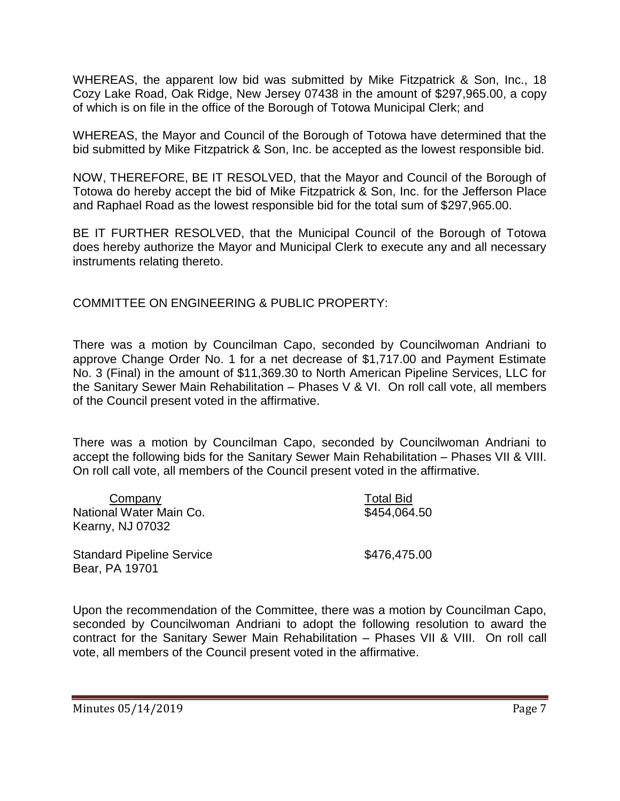WHEREAS, the apparent low bid was submitted by Mike Fitzpatrick & Son, Inc., 18 Cozy Lake Road, Oak Ridge, New Jersey 07438 in the amount of \$297,965.00, a copy of which is on file in the office of the Borough of Totowa Municipal Clerk; and

WHEREAS, the Mayor and Council of the Borough of Totowa have determined that the bid submitted by Mike Fitzpatrick & Son, Inc. be accepted as the lowest responsible bid.

NOW, THEREFORE, BE IT RESOLVED, that the Mayor and Council of the Borough of Totowa do hereby accept the bid of Mike Fitzpatrick & Son, Inc. for the Jefferson Place and Raphael Road as the lowest responsible bid for the total sum of \$297,965.00.

BE IT FURTHER RESOLVED, that the Municipal Council of the Borough of Totowa does hereby authorize the Mayor and Municipal Clerk to execute any and all necessary instruments relating thereto.

COMMITTEE ON ENGINEERING & PUBLIC PROPERTY:

There was a motion by Councilman Capo, seconded by Councilwoman Andriani to approve Change Order No. 1 for a net decrease of \$1,717.00 and Payment Estimate No. 3 (Final) in the amount of \$11,369.30 to North American Pipeline Services, LLC for the Sanitary Sewer Main Rehabilitation – Phases V & VI. On roll call vote, all members of the Council present voted in the affirmative.

There was a motion by Councilman Capo, seconded by Councilwoman Andriani to accept the following bids for the Sanitary Sewer Main Rehabilitation – Phases VII & VIII. On roll call vote, all members of the Council present voted in the affirmative.

| Company                                            | <b>Total Bid</b> |
|----------------------------------------------------|------------------|
| National Water Main Co.                            | \$454,064.50     |
| Kearny, NJ 07032                                   |                  |
| <b>Standard Pipeline Service</b><br>Bear, PA 19701 | \$476,475.00     |

Upon the recommendation of the Committee, there was a motion by Councilman Capo, seconded by Councilwoman Andriani to adopt the following resolution to award the contract for the Sanitary Sewer Main Rehabilitation – Phases VII & VIII. On roll call vote, all members of the Council present voted in the affirmative.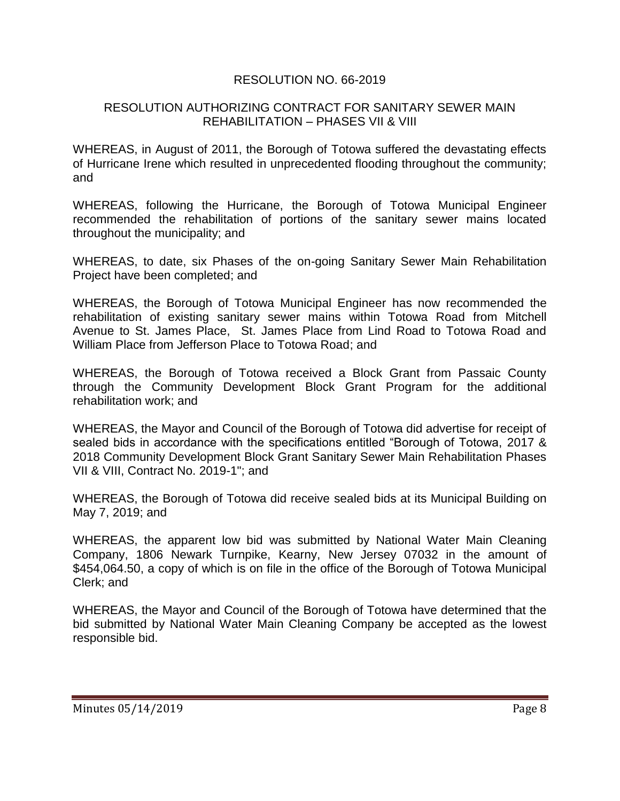## RESOLUTION NO. 66-2019

### RESOLUTION AUTHORIZING CONTRACT FOR SANITARY SEWER MAIN REHABILITATION – PHASES VII & VIII

WHEREAS, in August of 2011, the Borough of Totowa suffered the devastating effects of Hurricane Irene which resulted in unprecedented flooding throughout the community; and

WHEREAS, following the Hurricane, the Borough of Totowa Municipal Engineer recommended the rehabilitation of portions of the sanitary sewer mains located throughout the municipality; and

WHEREAS, to date, six Phases of the on-going Sanitary Sewer Main Rehabilitation Project have been completed; and

WHEREAS, the Borough of Totowa Municipal Engineer has now recommended the rehabilitation of existing sanitary sewer mains within Totowa Road from Mitchell Avenue to St. James Place, St. James Place from Lind Road to Totowa Road and William Place from Jefferson Place to Totowa Road; and

WHEREAS, the Borough of Totowa received a Block Grant from Passaic County through the Community Development Block Grant Program for the additional rehabilitation work; and

WHEREAS, the Mayor and Council of the Borough of Totowa did advertise for receipt of sealed bids in accordance with the specifications entitled "Borough of Totowa, 2017 & 2018 Community Development Block Grant Sanitary Sewer Main Rehabilitation Phases VII & VIII, Contract No. 2019-1"; and

WHEREAS, the Borough of Totowa did receive sealed bids at its Municipal Building on May 7, 2019; and

WHEREAS, the apparent low bid was submitted by National Water Main Cleaning Company, 1806 Newark Turnpike, Kearny, New Jersey 07032 in the amount of \$454,064.50, a copy of which is on file in the office of the Borough of Totowa Municipal Clerk; and

WHEREAS, the Mayor and Council of the Borough of Totowa have determined that the bid submitted by National Water Main Cleaning Company be accepted as the lowest responsible bid.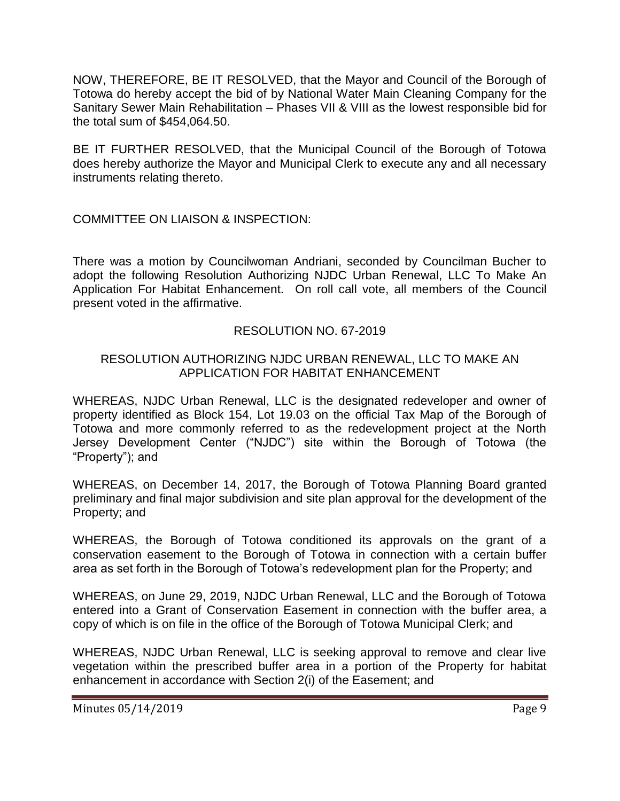NOW, THEREFORE, BE IT RESOLVED, that the Mayor and Council of the Borough of Totowa do hereby accept the bid of by National Water Main Cleaning Company for the Sanitary Sewer Main Rehabilitation – Phases VII & VIII as the lowest responsible bid for the total sum of \$454,064.50.

BE IT FURTHER RESOLVED, that the Municipal Council of the Borough of Totowa does hereby authorize the Mayor and Municipal Clerk to execute any and all necessary instruments relating thereto.

## COMMITTEE ON LIAISON & INSPECTION:

There was a motion by Councilwoman Andriani, seconded by Councilman Bucher to adopt the following Resolution Authorizing NJDC Urban Renewal, LLC To Make An Application For Habitat Enhancement. On roll call vote, all members of the Council present voted in the affirmative.

## RESOLUTION NO. 67-2019

## RESOLUTION AUTHORIZING NJDC URBAN RENEWAL, LLC TO MAKE AN APPLICATION FOR HABITAT ENHANCEMENT

WHEREAS, NJDC Urban Renewal, LLC is the designated redeveloper and owner of property identified as Block 154, Lot 19.03 on the official Tax Map of the Borough of Totowa and more commonly referred to as the redevelopment project at the North Jersey Development Center ("NJDC") site within the Borough of Totowa (the "Property"); and

WHEREAS, on December 14, 2017, the Borough of Totowa Planning Board granted preliminary and final major subdivision and site plan approval for the development of the Property; and

WHEREAS, the Borough of Totowa conditioned its approvals on the grant of a conservation easement to the Borough of Totowa in connection with a certain buffer area as set forth in the Borough of Totowa's redevelopment plan for the Property; and

WHEREAS, on June 29, 2019, NJDC Urban Renewal, LLC and the Borough of Totowa entered into a Grant of Conservation Easement in connection with the buffer area, a copy of which is on file in the office of the Borough of Totowa Municipal Clerk; and

WHEREAS, NJDC Urban Renewal, LLC is seeking approval to remove and clear live vegetation within the prescribed buffer area in a portion of the Property for habitat enhancement in accordance with Section 2(i) of the Easement; and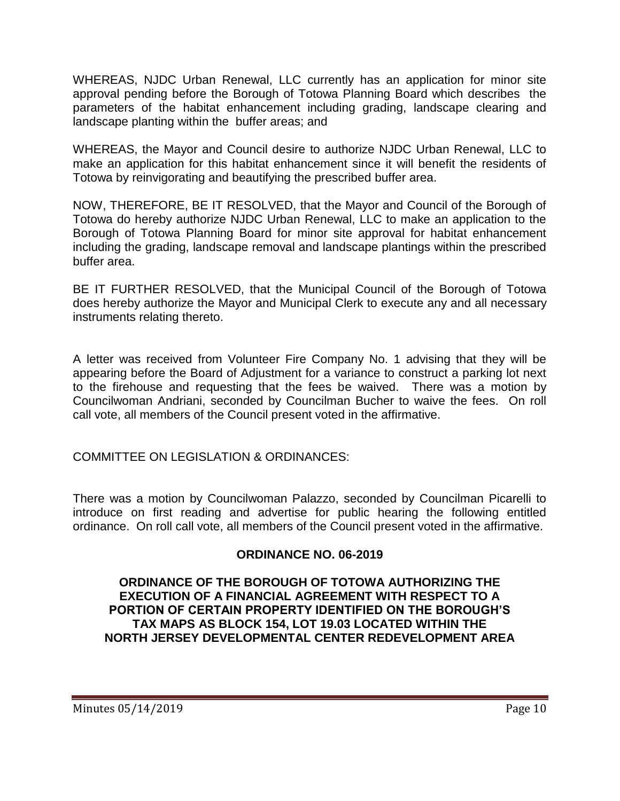WHEREAS, NJDC Urban Renewal, LLC currently has an application for minor site approval pending before the Borough of Totowa Planning Board which describes the parameters of the habitat enhancement including grading, landscape clearing and landscape planting within the buffer areas; and

WHEREAS, the Mayor and Council desire to authorize NJDC Urban Renewal, LLC to make an application for this habitat enhancement since it will benefit the residents of Totowa by reinvigorating and beautifying the prescribed buffer area.

NOW, THEREFORE, BE IT RESOLVED, that the Mayor and Council of the Borough of Totowa do hereby authorize NJDC Urban Renewal, LLC to make an application to the Borough of Totowa Planning Board for minor site approval for habitat enhancement including the grading, landscape removal and landscape plantings within the prescribed buffer area.

BE IT FURTHER RESOLVED, that the Municipal Council of the Borough of Totowa does hereby authorize the Mayor and Municipal Clerk to execute any and all necessary instruments relating thereto.

A letter was received from Volunteer Fire Company No. 1 advising that they will be appearing before the Board of Adjustment for a variance to construct a parking lot next to the firehouse and requesting that the fees be waived. There was a motion by Councilwoman Andriani, seconded by Councilman Bucher to waive the fees. On roll call vote, all members of the Council present voted in the affirmative.

COMMITTEE ON LEGISLATION & ORDINANCES:

There was a motion by Councilwoman Palazzo, seconded by Councilman Picarelli to introduce on first reading and advertise for public hearing the following entitled ordinance. On roll call vote, all members of the Council present voted in the affirmative.

# **ORDINANCE NO. 06-2019**

### **ORDINANCE OF THE BOROUGH OF TOTOWA AUTHORIZING THE EXECUTION OF A FINANCIAL AGREEMENT WITH RESPECT TO A PORTION OF CERTAIN PROPERTY IDENTIFIED ON THE BOROUGH'S TAX MAPS AS BLOCK 154, LOT 19.03 LOCATED WITHIN THE NORTH JERSEY DEVELOPMENTAL CENTER REDEVELOPMENT AREA**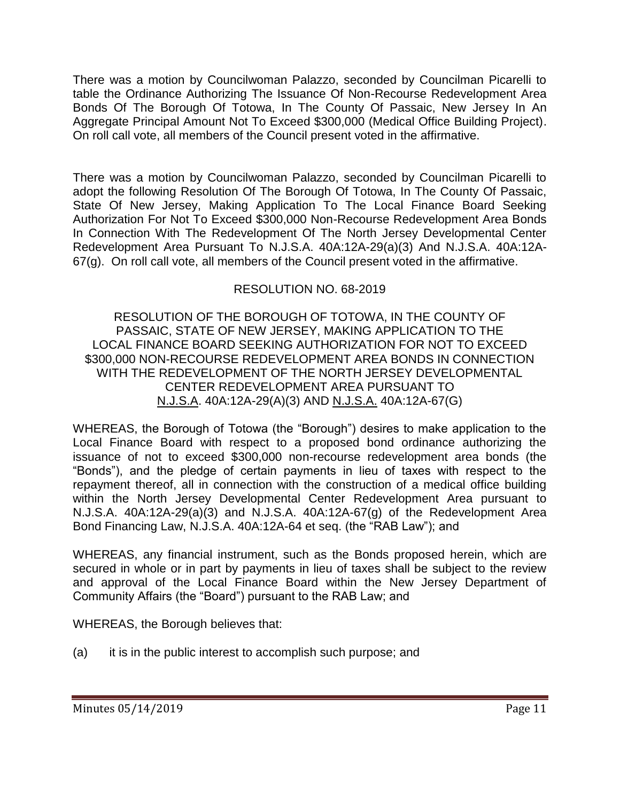There was a motion by Councilwoman Palazzo, seconded by Councilman Picarelli to table the Ordinance Authorizing The Issuance Of Non-Recourse Redevelopment Area Bonds Of The Borough Of Totowa, In The County Of Passaic, New Jersey In An Aggregate Principal Amount Not To Exceed \$300,000 (Medical Office Building Project). On roll call vote, all members of the Council present voted in the affirmative.

There was a motion by Councilwoman Palazzo, seconded by Councilman Picarelli to adopt the following Resolution Of The Borough Of Totowa, In The County Of Passaic, State Of New Jersey, Making Application To The Local Finance Board Seeking Authorization For Not To Exceed \$300,000 Non-Recourse Redevelopment Area Bonds In Connection With The Redevelopment Of The North Jersey Developmental Center Redevelopment Area Pursuant To N.J.S.A. 40A:12A-29(a)(3) And N.J.S.A. 40A:12A-67(g). On roll call vote, all members of the Council present voted in the affirmative.

# RESOLUTION NO. 68-2019

RESOLUTION OF THE BOROUGH OF TOTOWA, IN THE COUNTY OF PASSAIC, STATE OF NEW JERSEY, MAKING APPLICATION TO THE LOCAL FINANCE BOARD SEEKING AUTHORIZATION FOR NOT TO EXCEED \$300,000 NON-RECOURSE REDEVELOPMENT AREA BONDS IN CONNECTION WITH THE REDEVELOPMENT OF THE NORTH JERSEY DEVELOPMENTAL CENTER REDEVELOPMENT AREA PURSUANT TO N.J.S.A. 40A:12A-29(A)(3) AND N.J.S.A. 40A:12A-67(G)

WHEREAS, the Borough of Totowa (the "Borough") desires to make application to the Local Finance Board with respect to a proposed bond ordinance authorizing the issuance of not to exceed \$300,000 non-recourse redevelopment area bonds (the "Bonds"), and the pledge of certain payments in lieu of taxes with respect to the repayment thereof, all in connection with the construction of a medical office building within the North Jersey Developmental Center Redevelopment Area pursuant to N.J.S.A. 40A:12A-29(a)(3) and N.J.S.A. 40A:12A-67(g) of the Redevelopment Area Bond Financing Law, N.J.S.A. 40A:12A-64 et seq. (the "RAB Law"); and

WHEREAS, any financial instrument, such as the Bonds proposed herein, which are secured in whole or in part by payments in lieu of taxes shall be subject to the review and approval of the Local Finance Board within the New Jersey Department of Community Affairs (the "Board") pursuant to the RAB Law; and

WHEREAS, the Borough believes that:

(a) it is in the public interest to accomplish such purpose; and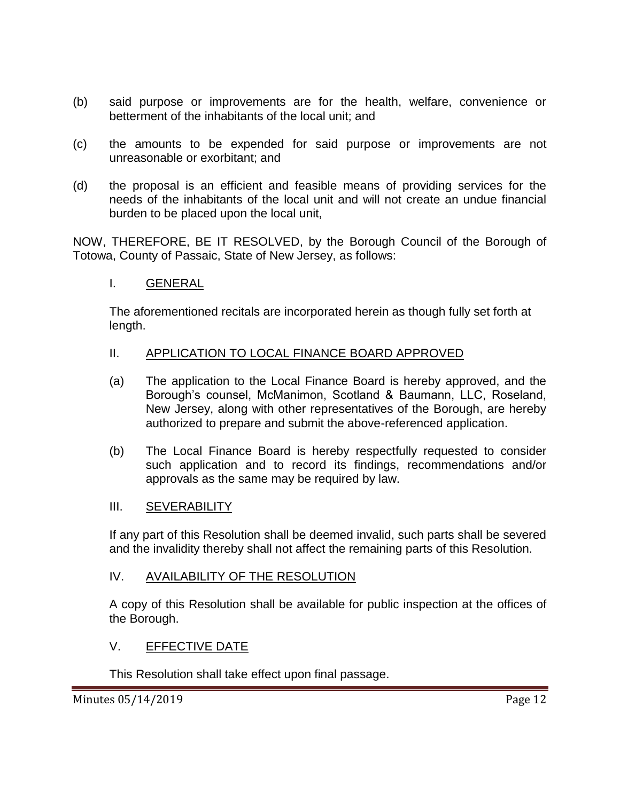- (b) said purpose or improvements are for the health, welfare, convenience or betterment of the inhabitants of the local unit; and
- (c) the amounts to be expended for said purpose or improvements are not unreasonable or exorbitant; and
- (d) the proposal is an efficient and feasible means of providing services for the needs of the inhabitants of the local unit and will not create an undue financial burden to be placed upon the local unit,

NOW, THEREFORE, BE IT RESOLVED, by the Borough Council of the Borough of Totowa, County of Passaic, State of New Jersey, as follows:

## I. GENERAL

The aforementioned recitals are incorporated herein as though fully set forth at length.

## II. APPLICATION TO LOCAL FINANCE BOARD APPROVED

- (a) The application to the Local Finance Board is hereby approved, and the Borough's counsel, McManimon, Scotland & Baumann, LLC, Roseland, New Jersey, along with other representatives of the Borough, are hereby authorized to prepare and submit the above-referenced application.
- (b) The Local Finance Board is hereby respectfully requested to consider such application and to record its findings, recommendations and/or approvals as the same may be required by law.

#### III. SEVERABILITY

If any part of this Resolution shall be deemed invalid, such parts shall be severed and the invalidity thereby shall not affect the remaining parts of this Resolution.

#### IV. AVAILABILITY OF THE RESOLUTION

A copy of this Resolution shall be available for public inspection at the offices of the Borough.

## V. EFFECTIVE DATE

This Resolution shall take effect upon final passage.